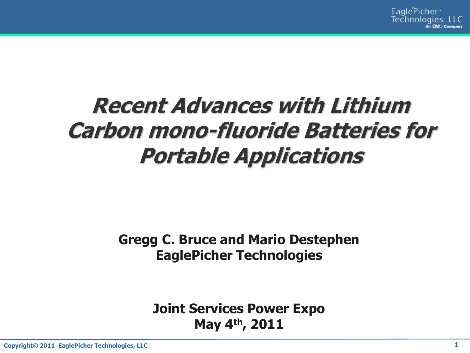# **Recent Advances with Lithium Carbon mono-fluoride Batteries for Portable Applications**

#### **Gregg C. Bruce and Mario Destephen EaglePicher Technologies**

**Joint Services Power Expo May 4th, 2011**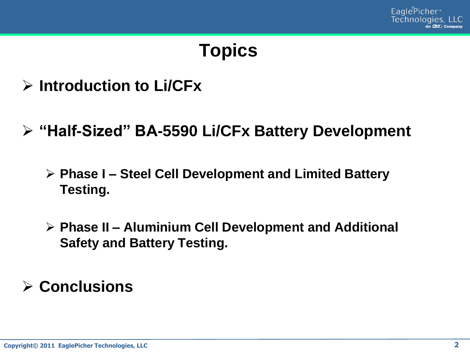

## **Topics**

- **Introduction to Li/CFx**
- **"Half-Sized" BA-5590 Li/CFx Battery Development**
	- **Phase I – Steel Cell Development and Limited Battery Testing.**
	- **Phase II – Aluminium Cell Development and Additional Safety and Battery Testing.**

**Conclusions**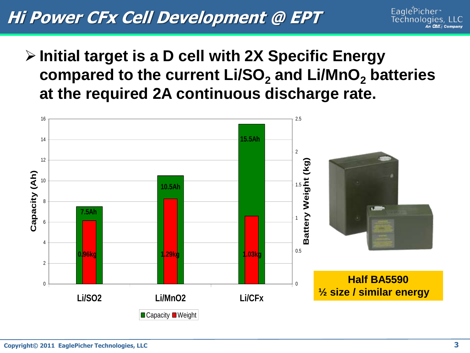## **Hi Power CFx Cell Development @ EPT**

- EaglePicher\* Technologies. LLC **In Child Company**
- **Initial target is a D cell with 2X Specific Energy compared to the current Li/SO<sup>2</sup> and Li/MnO<sup>2</sup> batteries at the required 2A continuous discharge rate.**

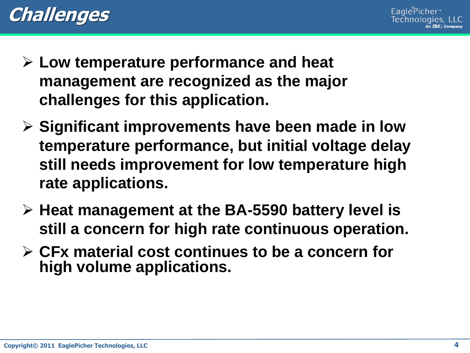



- **Low temperature performance and heat management are recognized as the major challenges for this application.**
- **Significant improvements have been made in low temperature performance, but initial voltage delay still needs improvement for low temperature high rate applications.**
- **Heat management at the BA-5590 battery level is still a concern for high rate continuous operation.**
- **CFx material cost continues to be a concern for high volume applications.**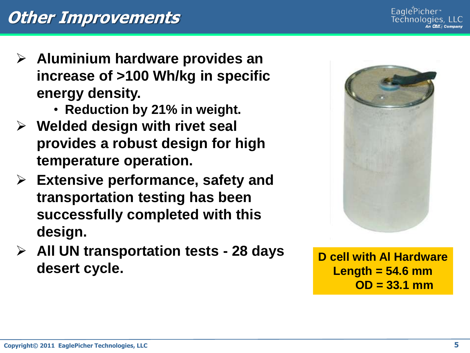- **Aluminium hardware provides an increase of >100 Wh/kg in specific energy density.**
	- **Reduction by 21% in weight.**
- **Welded design with rivet seal provides a robust design for high temperature operation.**
- **Extensive performance, safety and transportation testing has been successfully completed with this design.**
- **All UN transportation tests - 28 days desert cycle.**



**D cell with Al Hardware Length = 54.6 mm OD = 33.1 mm**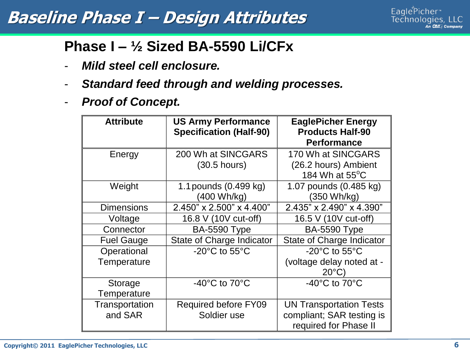#### **Baseline Phase I – Design Attributes**



#### **Phase I – ½ Sized BA-5590 Li/CFx**

- *Mild steel cell enclosure.*
- *Standard feed through and welding processes.*
- *Proof of Concept.*

| <b>Attribute</b>          | <b>US Army Performance</b><br><b>Specification (Half-90)</b> | <b>EaglePicher Energy</b><br><b>Products Half-90</b><br><b>Performance</b>           |
|---------------------------|--------------------------------------------------------------|--------------------------------------------------------------------------------------|
| Energy                    | 200 Wh at SINCGARS                                           | 170 Wh at SINCGARS                                                                   |
|                           | $(30.5$ hours)                                               | (26.2 hours) Ambient<br>184 Wh at $55^{\circ}$ C                                     |
| Weight                    | 1.1 pounds (0.499 kg)<br>(400 Wh/kg)                         | 1.07 pounds (0.485 kg)<br>(350 Wh/kg)                                                |
| <b>Dimensions</b>         | 2.450" x 2.500" x 4.400"                                     | 2.435" x 2.490" x 4.390"                                                             |
| Voltage                   | 16.8 V (10V cut-off)                                         | 16.5 V (10V cut-off)                                                                 |
| Connector                 | <b>BA-5590 Type</b>                                          | <b>BA-5590 Type</b>                                                                  |
| <b>Fuel Gauge</b>         | State of Charge Indicator                                    | State of Charge Indicator                                                            |
| Operational               | $-20^{\circ}$ C to 55 $^{\circ}$ C                           | $-20^{\circ}$ C to 55 $^{\circ}$ C                                                   |
| Temperature               |                                                              | (voltage delay noted at -<br>$20^{\circ}$ C)                                         |
| Storage<br>Temperature    | -40 $^{\circ}$ C to 70 $^{\circ}$ C                          | -40 $^{\circ}$ C to 70 $^{\circ}$ C                                                  |
| Transportation<br>and SAR | <b>Required before FY09</b><br>Soldier use                   | <b>UN Transportation Tests</b><br>compliant; SAR testing is<br>required for Phase II |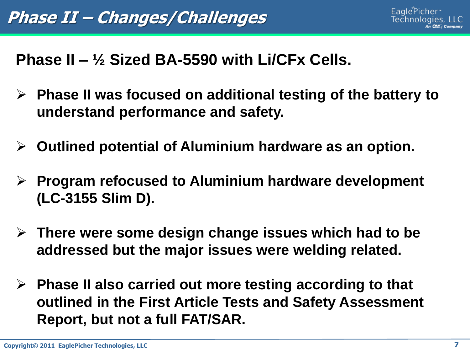#### **Phase II – ½ Sized BA-5590 with Li/CFx Cells.**

- **Phase II was focused on additional testing of the battery to understand performance and safety.**
- **Outlined potential of Aluminium hardware as an option.**
- **Program refocused to Aluminium hardware development (LC-3155 Slim D).**
- **There were some design change issues which had to be addressed but the major issues were welding related.**
- **Phase II also carried out more testing according to that outlined in the First Article Tests and Safety Assessment Report, but not a full FAT/SAR.**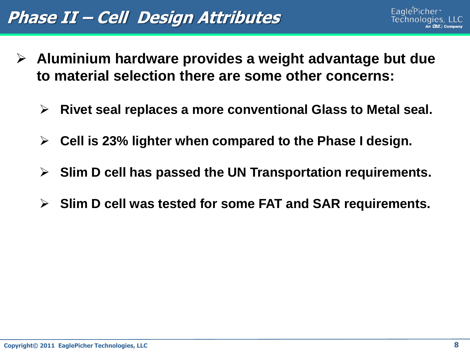## **Phase II – Cell Design Attributes**

- **Aluminium hardware provides a weight advantage but due to material selection there are some other concerns:**
	- **Rivet seal replaces a more conventional Glass to Metal seal.**
	- **Cell is 23% lighter when compared to the Phase I design.**
	- **Slim D cell has passed the UN Transportation requirements.**
	- **Slim D cell was tested for some FAT and SAR requirements.**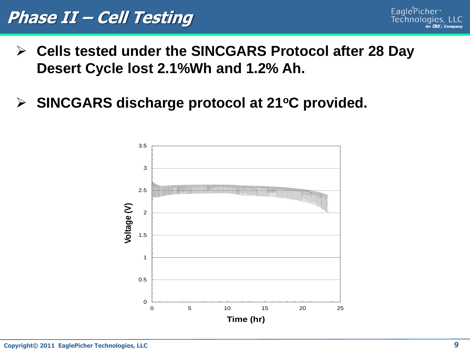- **Cells tested under the SINCGARS Protocol after 28 Day Desert Cycle lost 2.1%Wh and 1.2% Ah.**
- **SINCGARS discharge protocol at 21<sup>o</sup>C provided.**

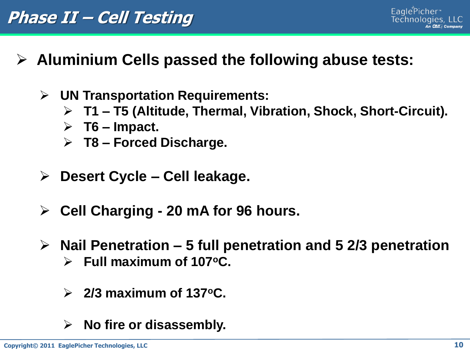- **Aluminium Cells passed the following abuse tests:**
	- **UN Transportation Requirements:**
		- **T1 – T5 (Altitude, Thermal, Vibration, Shock, Short-Circuit).**
		- **T6 – Impact.**
		- **T8 – Forced Discharge.**
	- **Desert Cycle – Cell leakage.**
	- **Cell Charging - 20 mA for 96 hours.**
	- **Nail Penetration – 5 full penetration and 5 2/3 penetration Full maximum of 107<sup>o</sup>C.**
		- **2/3 maximum of 137<sup>o</sup>C.**
		- **No fire or disassembly.**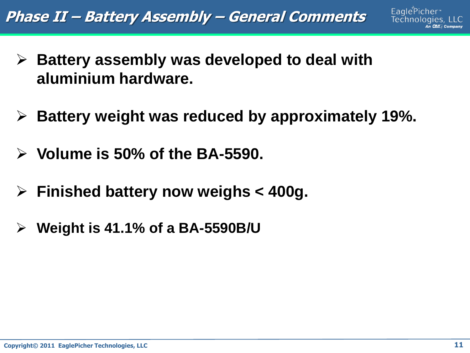**Phase II – Battery Assembly – General Comments**

- **Battery assembly was developed to deal with aluminium hardware.**
- **Battery weight was reduced by approximately 19%.**
- **Volume is 50% of the BA-5590.**
- **Finished battery now weighs < 400g.**
- **Weight is 41.1% of a BA-5590B/U**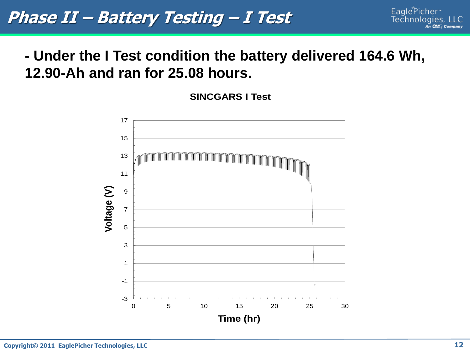#### **- Under the I Test condition the battery delivered 164.6 Wh, 12.90-Ah and ran for 25.08 hours.**

**SINCGARS I Test**

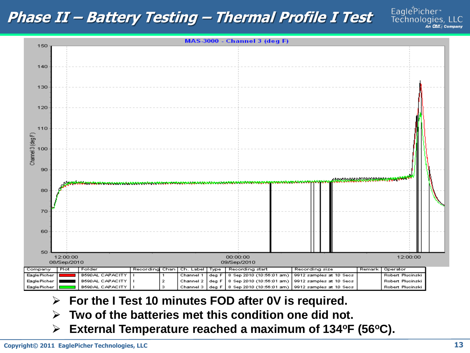#### **Phase II – Battery Testing – Thermal Profile I Test**

EaglePicher\*<br>Technologies, LLC An Child Company



- **For the I Test 10 minutes FOD after 0V is required.**
- **Two of the batteries met this condition one did not.**
- **External Temperature reached a maximum of 134<sup>o</sup>F (56<sup>o</sup>C).**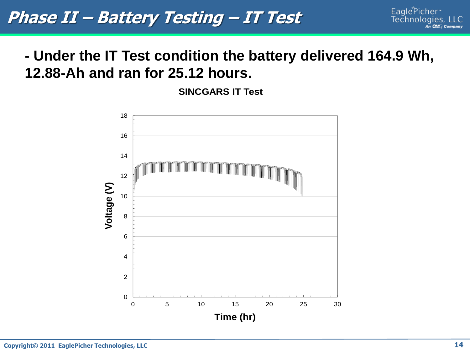#### **- Under the IT Test condition the battery delivered 164.9 Wh, 12.88-Ah and ran for 25.12 hours.**

**SINCGARS IT Test**

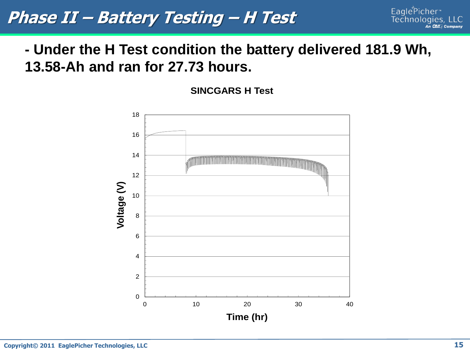**Phase II – Battery Testing – H Test**

#### **- Under the H Test condition the battery delivered 181.9 Wh, 13.58-Ah and ran for 27.73 hours.**

**SINCGARS H Test** 

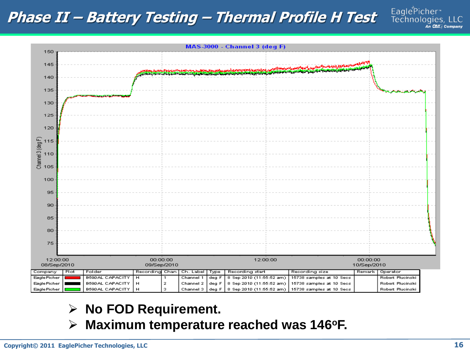#### **Phase II – Battery Testing – Thermal Profile H Test**



#### **No FOD Requirement.**

**Maximum temperature reached was 146<sup>o</sup>F.**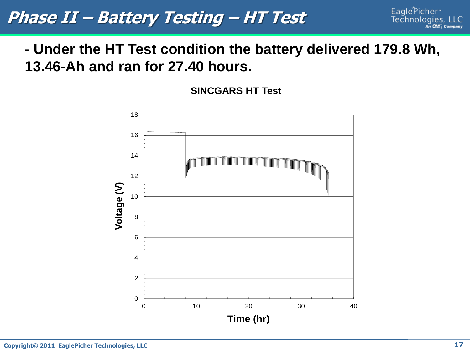**Phase II – Battery Testing – HT Test**

#### **- Under the HT Test condition the battery delivered 179.8 Wh, 13.46-Ah and ran for 27.40 hours.**

**SINCGARS HT Test**

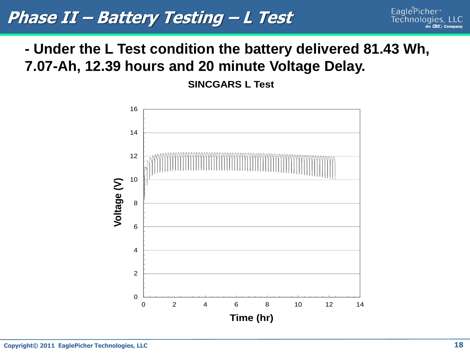#### **Phase II – Battery Testing – L Test**

#### **- Under the L Test condition the battery delivered 81.43 Wh, 7.07-Ah, 12.39 hours and 20 minute Voltage Delay.**

**SINCGARS L Test**

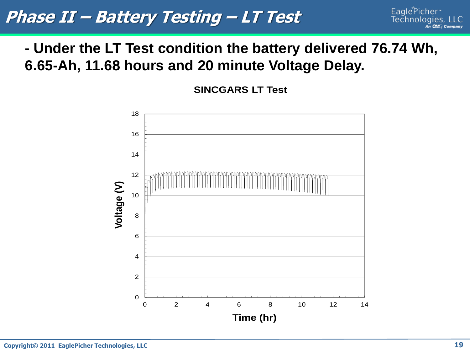### **Phase II – Battery Testing – LT Test**

#### **- Under the LT Test condition the battery delivered 76.74 Wh, 6.65-Ah, 11.68 hours and 20 minute Voltage Delay.**

**SINCGARS LT Test**

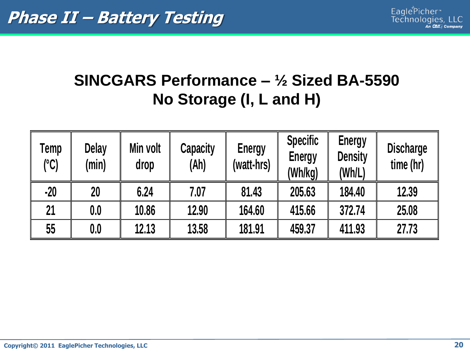## **SINCGARS Performance – ½ Sized BA-5590 No Storage (I, L and H)**

| Temp<br>(°C) | Delay<br>(min) | Min volt<br>drop | <b>Capacity</b><br>(Ah) | <b>Energy</b><br>(watt-hrs) | <b>Specific</b><br><b>Energy</b><br>(Wh/kg) | <b>Energy</b><br><b>Density</b><br>(Wh/L) | <b>Discharge</b><br>time (hr) |
|--------------|----------------|------------------|-------------------------|-----------------------------|---------------------------------------------|-------------------------------------------|-------------------------------|
| $-20$        | 20             | 6.24             | 7.07                    | 81.43                       | 205.63                                      | 184.40                                    | 12.39                         |
| 21           | 0.0            | 10.86            | 12.90                   | 164.60                      | 415.66                                      | 372.74                                    | 25.08                         |
| 55           | 0.0            | 12.13            | 13.58                   | 181.91                      | 459.37                                      | 411.93                                    | 27.73                         |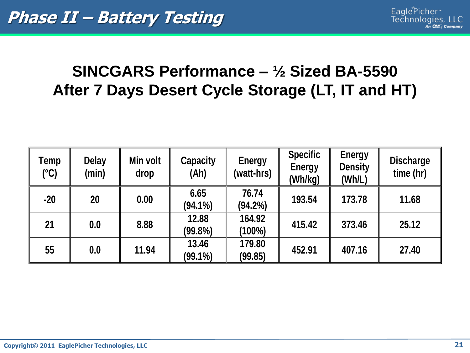### **SINCGARS Performance – ½ Sized BA-5590 After 7 Days Desert Cycle Storage (LT, IT and HT)**

| Temp<br>$(^{\circ}C)$ | <b>Delay</b><br>(min) | Min volt<br>drop | <b>Capacity</b><br>(Ah) | <b>Energy</b><br>(watt-hrs) | <b>Specific</b><br><b>Energy</b><br>(Wh/kg) | <b>Energy</b><br><b>Density</b><br>(Wh/L) | <b>Discharge</b><br>time (hr) |
|-----------------------|-----------------------|------------------|-------------------------|-----------------------------|---------------------------------------------|-------------------------------------------|-------------------------------|
| $-20$                 | 20                    | 0.00             | 6.65<br>$(94.1\%)$      | 76.74<br>$(94.2\%)$         | 193.54                                      | 173.78                                    | 11.68                         |
| 21                    | 0.0                   | 8.88             | 12.88<br>(99.8%)        | 164.92<br>(100%)            | 415.42                                      | 373.46                                    | 25.12                         |
| 55                    | 0.0                   | 11.94            | 13.46<br>$(99.1\%)$     | 179.80<br>(99.85)           | 452.91                                      | 407.16                                    | 27.40                         |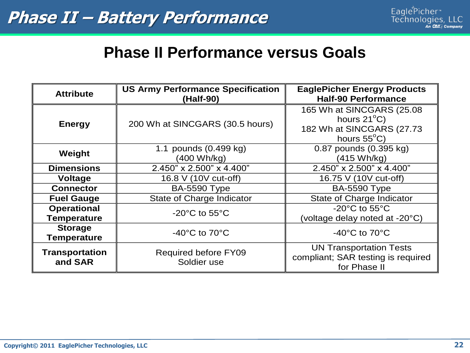#### **Phase II Performance versus Goals**

| <b>Attribute</b>                         | <b>US Army Performance Specification</b><br>(Half-90) | <b>EaglePicher Energy Products</b><br><b>Half-90 Performance</b>                                          |  |
|------------------------------------------|-------------------------------------------------------|-----------------------------------------------------------------------------------------------------------|--|
| <b>Energy</b>                            | 200 Wh at SINCGARS (30.5 hours)                       | 165 Wh at SINCGARS (25.08)<br>hours $21^{\circ}$ C)<br>182 Wh at SINCGARS (27.73<br>hours $55^{\circ}$ C) |  |
| Weight                                   | 1.1 pounds (0.499 kg)<br>(400 Wh/kg)                  | 0.87 pounds (0.395 kg)<br>(415 Wh/kg)                                                                     |  |
| <b>Dimensions</b>                        | 2.450" x 2.500" x 4.400"                              | 2.450" x 2.500" x 4.400"                                                                                  |  |
| <b>Voltage</b>                           | 16.8 V (10V cut-off)                                  | 16.75 V (10V cut-off)                                                                                     |  |
| <b>Connector</b>                         | <b>BA-5590 Type</b>                                   | <b>BA-5590 Type</b>                                                                                       |  |
| <b>Fuel Gauge</b>                        | State of Charge Indicator                             | State of Charge Indicator                                                                                 |  |
| <b>Operational</b><br><b>Temperature</b> | $-20^{\circ}$ C to 55 $^{\circ}$ C                    | $-20^{\circ}$ C to 55 $^{\circ}$ C<br>(voltage delay noted at -20°C)                                      |  |
| <b>Storage</b><br><b>Temperature</b>     | $-40^{\circ}$ C to $70^{\circ}$ C                     | -40 $^{\circ}$ C to 70 $^{\circ}$ C                                                                       |  |
| <b>Transportation</b><br>and SAR         | <b>Required before FY09</b><br>Soldier use            | <b>UN Transportation Tests</b><br>compliant; SAR testing is required<br>for Phase II                      |  |